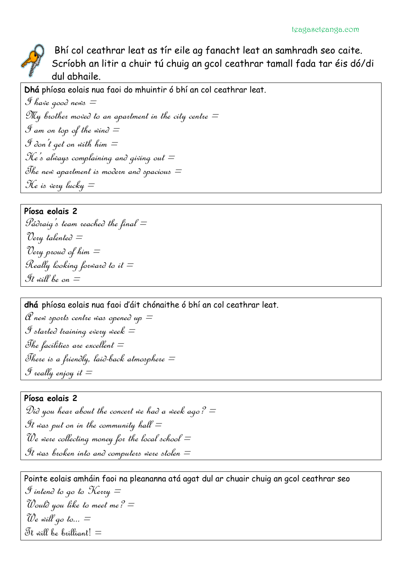

Bhí col ceathrar leat as tír eile ag fanacht leat an samhradh seo caite. Scríobh an litir a chuir tú chuig an gcol ceathrar tamall fada tar éis dó/di dul abhaile.

**Dhá** phíosa eolais nua faoi do mhuintir ó bhí an col ceathrar leat.

```
I have good news =My brother moved to an aparlment in the city centre =I am on top of the wind =\mathcal I don't get on with him =He's always complaining and giving out =The new aparlment is modern and spacious =He is very lucky =
```
### **Píosa eolais 2**

 $P$ ádraig's team reached the final  $=$ "Very talente $\partial \equiv$ Very proud of him  $=$ Really looking forward to it  $=$ It will be on  $\equiv$ 

**dhá** phíosa eolais nua faoi d'áit chónaithe ó bhí an col ceathrar leat.

 $\mathscr C$  new sports centre was opened up  $=$ I started training every week  $=$ The facilities are excellent  $=$ There is a friendly, laid-back almosphere  $=$  $\mathscr G$  really enjoy it  $=$ 

### **Píosa eolais 2**

Did you hear about the concert we had a week ago?  $=$ It was put on in the community hall  $=$ We were collecting money for the local school  $=$ It was broken into and computers were stolen  $=$ 

Pointe eolais amháin faoi na pleananna atá agat dul ar chuair chuig an gcol ceathrar seo I intend to go to Kerry  $=$ Would you like to meet me?  $\equiv$ We will go to...  $=$ Tt will be brilliant!  $\equiv$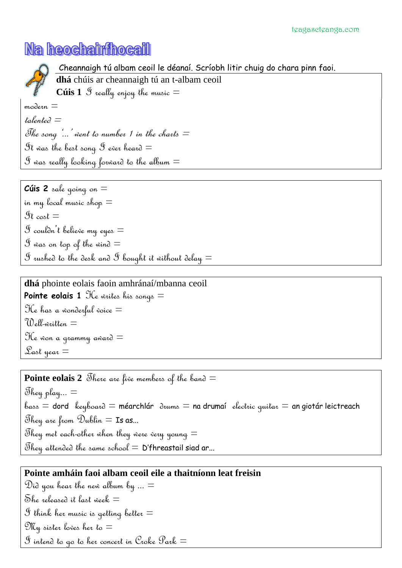## Na heochairfhocail

## Cheannaigh tú albam ceoil le déanaí. Scríobh litir chuig do chara pinn faoi. **dhá** chúis ar cheannaigh tú an t-albam ceoil

**Cúis** 1  $\mathcal S$  really enjoy the music  $=$ 

 $mod$ ern  $=$ 

 $t$ alente $\partial \equiv$ The song  $\ldots$  went to number 1 in the charts  $=$ It was the best song I ever heard  $\equiv$  $S$  was really looking forward to the album  $\equiv$ 

**Cúis 2** sale going on = in my local music shop  $=$  $\mathfrak{R}_{\mathfrak{c}}$  cost  $=$  $\mathcal S$  coulàn't believe my eyes  $=$  $\mathcal S$  was on top of the wind  $=$  $\mathcal S$  rushed to the desk and  $\mathcal S$  bought it without delay  $=$ 

**dhá** phointe eolais faoin amhránaí/mbanna ceoil **Pointe eolais 1** He writes his songs = The has a wonderful voice  $=$ Well-written  $\equiv$ The won a qrammy award  $\equiv$ Las $t$  year  $\equiv$ 

**Pointe eolais 2** There are five members of the band  $=$ They play...  $=$  $b$ ass = dord keyboard = méarchlár  $\partial$ ums = na drumaí electric quitar = an giotár leictreach They are from Dublin  $=$  Is as... They met each-other when they were very young  $\equiv$ They attended the same school  $=$  D'fhreastail siad ar...

## **Pointe amháin faoi albam ceoil eile a thaitníonn leat freisin**

Did you hear the new album by  $\ldots =$ She released it last week  $\equiv$  ${\mathcal S}$  think her music is qettinq better  $=$ My sister loves her to  $\equiv$  $\mathscr S$  intend to go to her concert in Croke Park  $=$